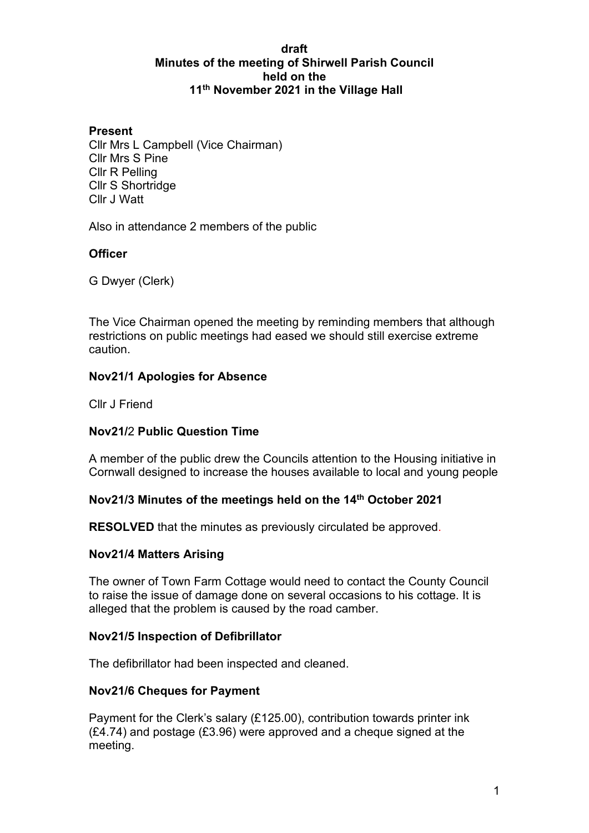### **draft Minutes of the meeting of Shirwell Parish Council held on the 11th November 2021 in the Village Hall**

### **Present**

Cllr Mrs L Campbell (Vice Chairman) Cllr Mrs S Pine Cllr R Pelling Cllr S Shortridge Cllr J Watt

Also in attendance 2 members of the public

### **Officer**

G Dwyer (Clerk)

The Vice Chairman opened the meeting by reminding members that although restrictions on public meetings had eased we should still exercise extreme caution.

### **Nov21/1 Apologies for Absence**

Cllr J Friend

### **Nov21/**2 **Public Question Time**

A member of the public drew the Councils attention to the Housing initiative in Cornwall designed to increase the houses available to local and young people

#### **Nov21/3 Minutes of the meetings held on the 14th October 2021**

**RESOLVED** that the minutes as previously circulated be approved.

#### **Nov21/4 Matters Arising**

The owner of Town Farm Cottage would need to contact the County Council to raise the issue of damage done on several occasions to his cottage. It is alleged that the problem is caused by the road camber.

#### **Nov21/5 Inspection of Defibrillator**

The defibrillator had been inspected and cleaned.

#### **Nov21/6 Cheques for Payment**

Payment for the Clerk's salary (£125.00), contribution towards printer ink (£4.74) and postage (£3.96) were approved and a cheque signed at the meeting.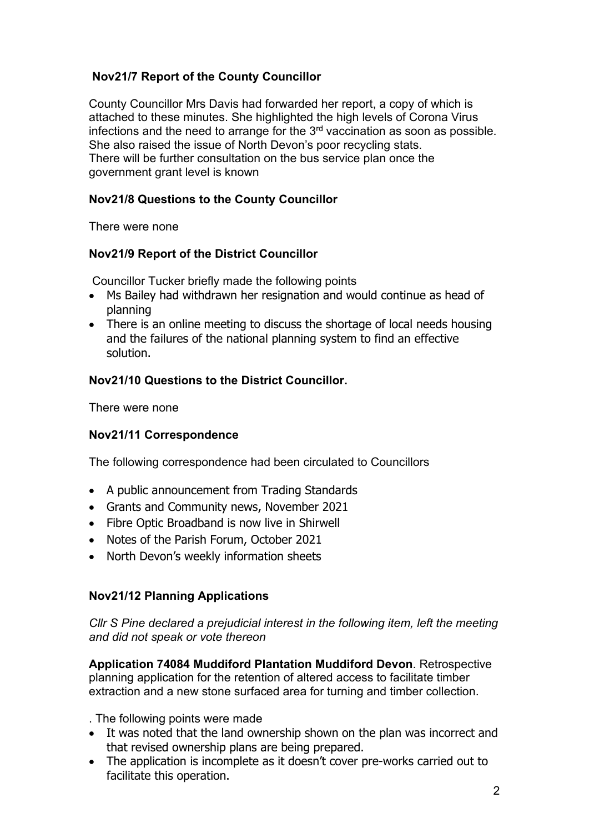# **Nov21/7 Report of the County Councillor**

County Councillor Mrs Davis had forwarded her report, a copy of which is attached to these minutes. She highlighted the high levels of Corona Virus infections and the need to arrange for the  $3<sup>rd</sup>$  vaccination as soon as possible. She also raised the issue of North Devon's poor recycling stats. There will be further consultation on the bus service plan once the government grant level is known

## **Nov21/8 Questions to the County Councillor**

There were none

## **Nov21/9 Report of the District Councillor**

Councillor Tucker briefly made the following points

- Ms Bailey had withdrawn her resignation and would continue as head of planning
- There is an online meeting to discuss the shortage of local needs housing and the failures of the national planning system to find an effective solution.

## **Nov21/10 Questions to the District Councillor.**

There were none

## **Nov21/11 Correspondence**

The following correspondence had been circulated to Councillors

- A public announcement from Trading Standards
- Grants and Community news, November 2021
- Fibre Optic Broadband is now live in Shirwell
- Notes of the Parish Forum, October 2021
- North Devon's weekly information sheets

## **Nov21/12 Planning Applications**

*Cllr S Pine declared a prejudicial interest in the following item, left the meeting and did not speak or vote thereon*

**Application 74084 Muddiford Plantation Muddiford Devon**. Retrospective planning application for the retention of altered access to facilitate timber extraction and a new stone surfaced area for turning and timber collection.

. The following points were made

- It was noted that the land ownership shown on the plan was incorrect and that revised ownership plans are being prepared.
- The application is incomplete as it doesn't cover pre-works carried out to facilitate this operation.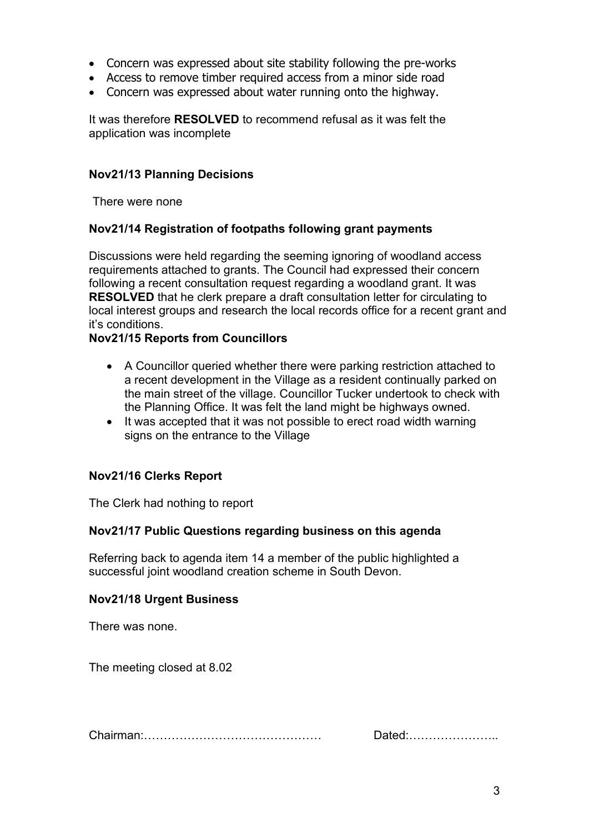- Concern was expressed about site stability following the pre-works
- Access to remove timber required access from a minor side road
- Concern was expressed about water running onto the highway.

It was therefore **RESOLVED** to recommend refusal as it was felt the application was incomplete

### **Nov21/13 Planning Decisions**

There were none

### **Nov21/14 Registration of footpaths following grant payments**

Discussions were held regarding the seeming ignoring of woodland access requirements attached to grants. The Council had expressed their concern following a recent consultation request regarding a woodland grant. It was **RESOLVED** that he clerk prepare a draft consultation letter for circulating to local interest groups and research the local records office for a recent grant and it's conditions.

### **Nov21/15 Reports from Councillors**

- A Councillor queried whether there were parking restriction attached to a recent development in the Village as a resident continually parked on the main street of the village. Councillor Tucker undertook to check with the Planning Office. It was felt the land might be highways owned.
- It was accepted that it was not possible to erect road width warning signs on the entrance to the Village

### **Nov21/16 Clerks Report**

The Clerk had nothing to report

### **Nov21/17 Public Questions regarding business on this agenda**

Referring back to agenda item 14 a member of the public highlighted a successful joint woodland creation scheme in South Devon.

### **Nov21/18 Urgent Business**

There was none.

The meeting closed at 8.02

| $\sim$ | Dawy |
|--------|------|
|--------|------|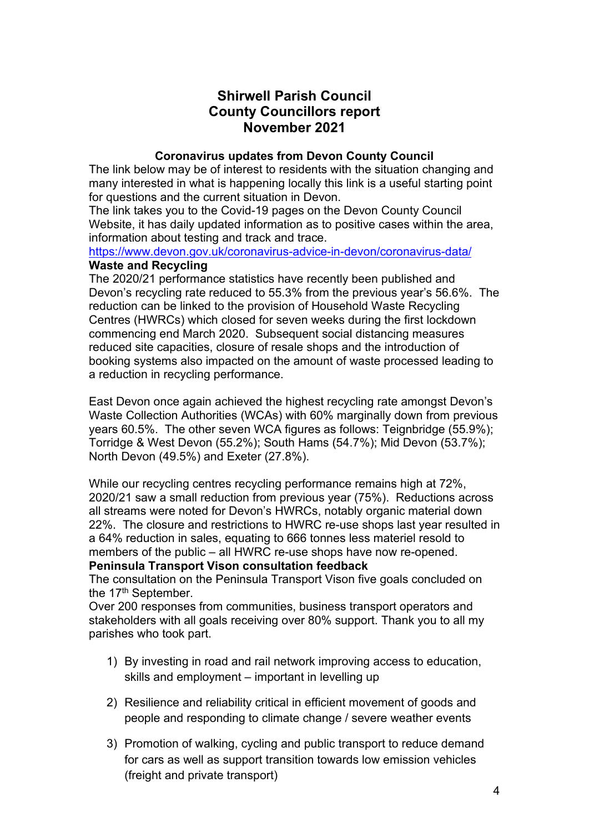# **Shirwell Parish Council County Councillors report November 2021**

### **Coronavirus updates from Devon County Council**

The link below may be of interest to residents with the situation changing and many interested in what is happening locally this link is a useful starting point for questions and the current situation in Devon.

The link takes you to the Covid-19 pages on the Devon County Council Website, it has daily updated information as to positive cases within the area, information about testing and track and trace.

### <https://www.devon.gov.uk/coronavirus-advice-in-devon/coronavirus-data/> **Waste and Recycling**

The 2020/21 performance statistics have recently been published and Devon's recycling rate reduced to 55.3% from the previous year's 56.6%. The reduction can be linked to the provision of Household Waste Recycling Centres (HWRCs) which closed for seven weeks during the first lockdown commencing end March 2020. Subsequent social distancing measures reduced site capacities, closure of resale shops and the introduction of booking systems also impacted on the amount of waste processed leading to a reduction in recycling performance.

East Devon once again achieved the highest recycling rate amongst Devon's Waste Collection Authorities (WCAs) with 60% marginally down from previous years 60.5%. The other seven WCA figures as follows: Teignbridge (55.9%); Torridge & West Devon (55.2%); South Hams (54.7%); Mid Devon (53.7%); North Devon (49.5%) and Exeter (27.8%).

While our recycling centres recycling performance remains high at 72%, 2020/21 saw a small reduction from previous year (75%). Reductions across all streams were noted for Devon's HWRCs, notably organic material down 22%. The closure and restrictions to HWRC re-use shops last year resulted in a 64% reduction in sales, equating to 666 tonnes less materiel resold to members of the public – all HWRC re-use shops have now re-opened. **Peninsula Transport Vison consultation feedback**

The consultation on the Peninsula Transport Vison five goals concluded on the 17<sup>th</sup> September.

Over 200 responses from communities, business transport operators and stakeholders with all goals receiving over 80% support. Thank you to all my parishes who took part.

- 1) By investing in road and rail network improving access to education, skills and employment – important in levelling up
- 2) Resilience and reliability critical in efficient movement of goods and people and responding to climate change / severe weather events
- 3) Promotion of walking, cycling and public transport to reduce demand for cars as well as support transition towards low emission vehicles (freight and private transport)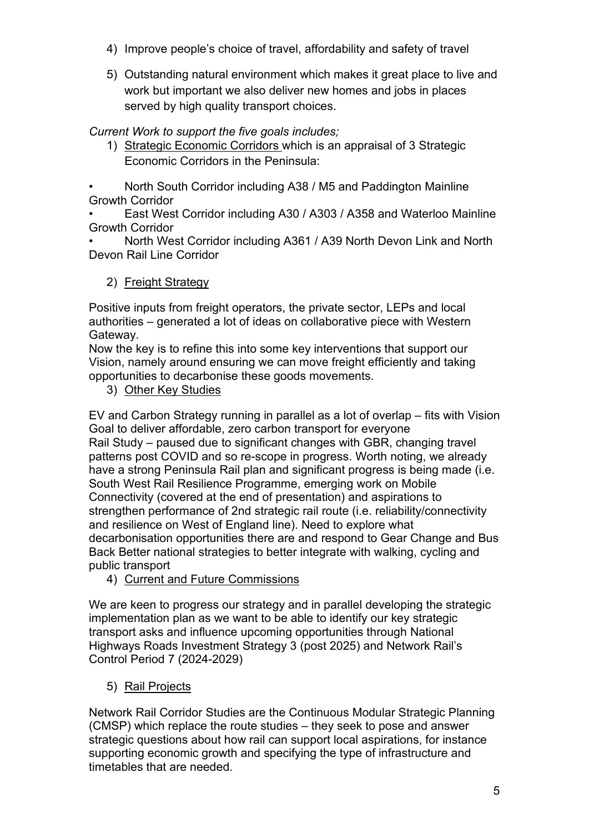- 4) Improve people's choice of travel, affordability and safety of travel
- 5) Outstanding natural environment which makes it great place to live and work but important we also deliver new homes and jobs in places served by high quality transport choices.

*Current Work to support the five goals includes;*

1) Strategic Economic Corridors which is an appraisal of 3 Strategic Economic Corridors in the Peninsula:

• North South Corridor including A38 / M5 and Paddington Mainline Growth Corridor

• East West Corridor including A30 / A303 / A358 and Waterloo Mainline Growth Corridor

• North West Corridor including A361 / A39 North Devon Link and North Devon Rail Line Corridor

# 2) Freight Strategy

Positive inputs from freight operators, the private sector, LEPs and local authorities – generated a lot of ideas on collaborative piece with Western Gateway.

Now the key is to refine this into some key interventions that support our Vision, namely around ensuring we can move freight efficiently and taking opportunities to decarbonise these goods movements.

3) Other Key Studies

EV and Carbon Strategy running in parallel as a lot of overlap – fits with Vision Goal to deliver affordable, zero carbon transport for everyone Rail Study – paused due to significant changes with GBR, changing travel patterns post COVID and so re-scope in progress. Worth noting, we already have a strong Peninsula Rail plan and significant progress is being made (i.e. South West Rail Resilience Programme, emerging work on Mobile Connectivity (covered at the end of presentation) and aspirations to strengthen performance of 2nd strategic rail route (i.e. reliability/connectivity and resilience on West of England line). Need to explore what decarbonisation opportunities there are and respond to Gear Change and Bus Back Better national strategies to better integrate with walking, cycling and public transport

4) Current and Future Commissions

We are keen to progress our strategy and in parallel developing the strategic implementation plan as we want to be able to identify our key strategic transport asks and influence upcoming opportunities through National Highways Roads Investment Strategy 3 (post 2025) and Network Rail's Control Period 7 (2024-2029)

5) Rail Projects

Network Rail Corridor Studies are the Continuous Modular Strategic Planning (CMSP) which replace the route studies – they seek to pose and answer strategic questions about how rail can support local aspirations, for instance supporting economic growth and specifying the type of infrastructure and timetables that are needed.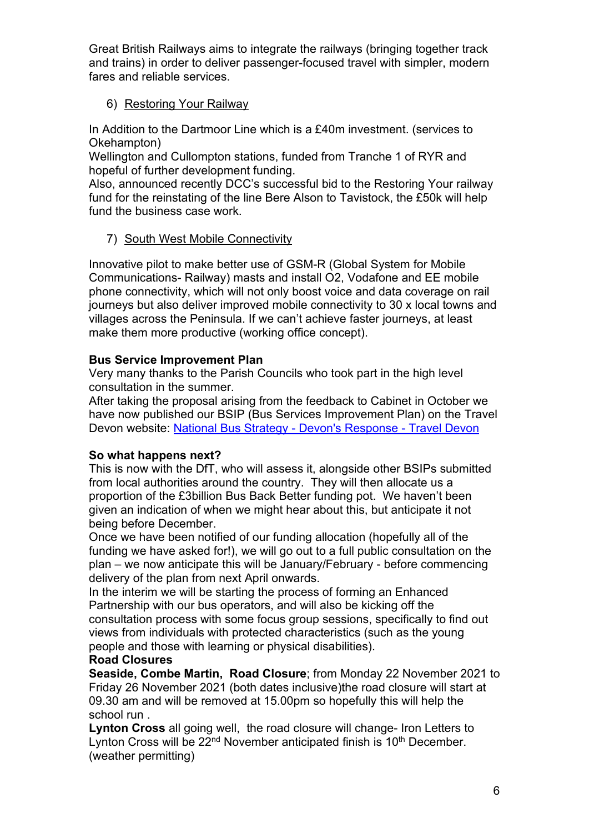Great British Railways aims to integrate the railways (bringing together track and trains) in order to deliver passenger-focused travel with simpler, modern fares and reliable services.

## 6) Restoring Your Railway

In Addition to the Dartmoor Line which is a £40m investment. (services to Okehampton)

Wellington and Cullompton stations, funded from Tranche 1 of RYR and hopeful of further development funding.

Also, announced recently DCC's successful bid to the Restoring Your railway fund for the reinstating of the line Bere Alson to Tavistock, the £50k will help fund the business case work.

# 7) South West Mobile Connectivity

Innovative pilot to make better use of GSM-R (Global System for Mobile Communications- Railway) masts and install O2, Vodafone and EE mobile phone connectivity, which will not only boost voice and data coverage on rail journeys but also deliver improved mobile connectivity to 30 x local towns and villages across the Peninsula. If we can't achieve faster journeys, at least make them more productive (working office concept).

# **Bus Service Improvement Plan**

Very many thanks to the Parish Councils who took part in the high level consultation in the summer.

After taking the proposal arising from the feedback to Cabinet in October we have now published our BSIP (Bus Services Improvement Plan) on the Travel Devon website: [National Bus Strategy - Devon's Response - Travel Devon](https://eur02.safelinks.protection.outlook.com/?url=https%3A%2F%2Fwww.traveldevon.info%2Fbus%2Fbsip%2F&data=04%7C01%7CAndrea.Davis%40devon.gov.uk%7Cdabe384794c44aa123e508d99ec61d87%7C8da13783cb68443fbb4b997f77fd5bfb%7C0%7C0%7C637715395993021414%7CUnknown%7CTWFpbGZsb3d8eyJWIjoiMC4wLjAwMDAiLCJQIjoiV2luMzIiLCJBTiI6Ik1haWwiLCJXVCI6Mn0%3D%7C1000&sdata=GHwWLCFFb%2FV%2BVuh%2Fc0XWnHtEAjjTPomuqiA7lHCQXGY%3D&reserved=0)

## **So what happens next?**

This is now with the DfT, who will assess it, alongside other BSIPs submitted from local authorities around the country. They will then allocate us a proportion of the £3billion Bus Back Better funding pot. We haven't been given an indication of when we might hear about this, but anticipate it not being before December.

Once we have been notified of our funding allocation (hopefully all of the funding we have asked for!), we will go out to a full public consultation on the plan – we now anticipate this will be January/February - before commencing delivery of the plan from next April onwards.

In the interim we will be starting the process of forming an Enhanced Partnership with our bus operators, and will also be kicking off the consultation process with some focus group sessions, specifically to find out views from individuals with protected characteristics (such as the young people and those with learning or physical disabilities).

## **Road Closures**

**Seaside, Combe Martin, Road Closure**; from Monday 22 November 2021 to Friday 26 November 2021 (both dates inclusive)the road closure will start at 09.30 am and will be removed at 15.00pm so hopefully this will help the school run .

**Lynton Cross** all going well, the road closure will change- Iron Letters to Lynton Cross will be  $22<sup>nd</sup>$  November anticipated finish is  $10<sup>th</sup>$  December. (weather permitting)